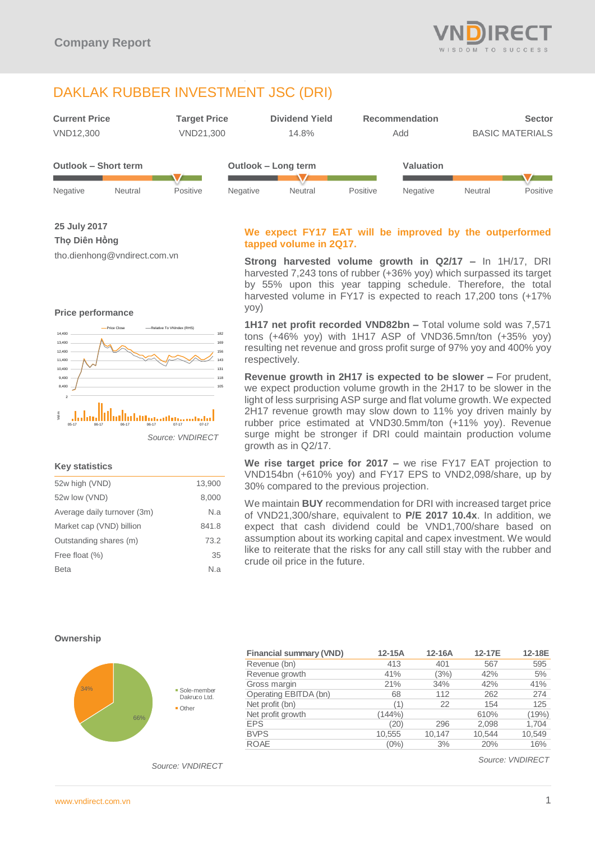# DAKLAK RUBBER INVESTMENT JSC (DRI)



|          |         |          |                 |         |          | .        |         |          |
|----------|---------|----------|-----------------|---------|----------|----------|---------|----------|
|          |         |          |                 |         |          |          |         |          |
| Negative | Neutral | Positive | <b>Negative</b> | Neutral | Positive | Negative | Neutral | Positive |

**25 July 2017**

## **Thọ Diên Hồng**

tho.dienhong@vndirect.com.vn

## **Price performance**



*Source: VNDIRECT*

## **Key statistics**

| 52w high (VND)              | 13,900 |
|-----------------------------|--------|
| 52w low (VND)               | 8,000  |
| Average daily turnover (3m) | N.a    |
| Market cap (VND) billion    | 841.8  |
| Outstanding shares (m)      | 73.2   |
| Free float (%)              | 35     |
| <b>Beta</b>                 | N.a    |
|                             |        |

## **We expect FY17 EAT will be improved by the outperformed tapped volume in 2Q17.**

**Strong harvested volume growth in Q2/17 –** In 1H/17, DRI harvested 7,243 tons of rubber (+36% yoy) which surpassed its target by 55% upon this year tapping schedule. Therefore, the total harvested volume in FY17 is expected to reach 17,200 tons (+17% yoy)

**1H17 net profit recorded VND82bn –** Total volume sold was 7,571 tons (+46% yoy) with 1H17 ASP of VND36.5mn/ton (+35% yoy) resulting net revenue and gross profit surge of 97% yoy and 400% yoy respectively.

**Revenue growth in 2H17 is expected to be slower –** For prudent, we expect production volume growth in the 2H17 to be slower in the light of less surprising ASP surge and flat volume growth. We expected 2H17 revenue growth may slow down to 11% yoy driven mainly by rubber price estimated at VND30.5mm/ton (+11% yoy). Revenue surge might be stronger if DRI could maintain production volume growth as in Q2/17.

**We rise target price for 2017 –** we rise FY17 EAT projection to VND154bn (+610% yoy) and FY17 EPS to VND2,098/share, up by 30% compared to the previous projection.

We maintain **BUY** recommendation for DRI with increased target price of VND21,300/share, equivalent to **P/E 2017 10.4x**. In addition, we expect that cash dividend could be VND1,700/share based on assumption about its working capital and capex investment. We would like to reiterate that the risks for any call still stay with the rubber and crude oil price in the future.

### **Ownership**



|     |                               | <b>Financial summary (VND)</b> | $12-15A$ | $12-16A$ | 12-17E | 12-18E |
|-----|-------------------------------|--------------------------------|----------|----------|--------|--------|
|     |                               | Revenue (bn)                   | 413      | 401      | 567    | 595    |
|     |                               | Revenue growth                 | 41%      | (3%)     | 42%    | 5%     |
|     |                               | Gross margin                   | 21%      | 34%      | 42%    | 41%    |
| 66% | • Sole-member<br>Dakruco Ltd. | Operating EBITDA (bn)          | 68       | 112      | 262    | 274    |
|     | $\blacksquare$ Other          | Net profit (bn)                | '1'      | 22       | 154    | 125    |
|     |                               | Net profit growth              | (144% )  |          | 610%   | (19%)  |
|     |                               | <b>EPS</b>                     | (20)     | 296      | 2.098  | 1,704  |
|     |                               | <b>BVPS</b>                    | 10,555   | 10.147   | 10.544 | 10,549 |
|     |                               | <b>ROAE</b>                    | $(0\%)$  | 3%       | 20%    | 16%    |

*Source: VNDIRECT*

*Source: VNDIRECT*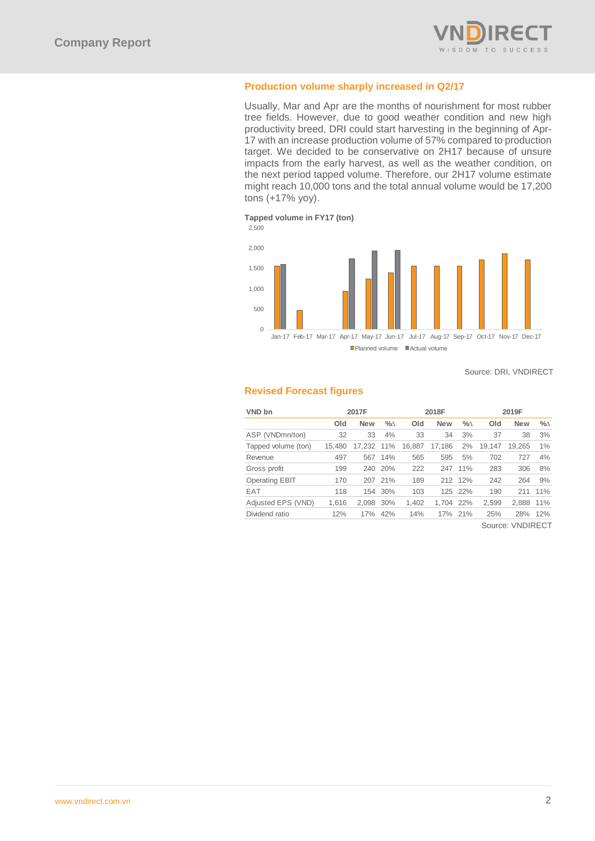

## **Production volume sharply increased in Q2/17**

Usually, Mar and Apr are the months of nourishment for most rubber tree fields. However, due to good weather condition and new high productivity breed, DRI could start harvesting in the beginning of Apr-17 with an increase production volume of 57% compared to production target. We decided to be conservative on 2H17 because of unsure impacts from the early harvest, as well as the weather condition, on the next period tapped volume. Therefore, our 2H17 volume estimate might reach 10,000 tons and the total annual volume would be 17,200 tons (+17% yoy).

**Tapped volume in FY17 (ton)**



Source: DRI, VNDIRECT

## **Revised Forecast figures**

| VND bn                | 2017F  |            |      | 2018F  |            |         | 2019F  |                                     |      |
|-----------------------|--------|------------|------|--------|------------|---------|--------|-------------------------------------|------|
|                       | Old    | <b>New</b> | $\%$ | Old    | <b>New</b> | $\%$    | Old    | <b>New</b>                          | $\%$ |
| ASP (VNDmn/ton)       | 32     | 33         | 4%   | 33     | 34         | 3%      | 37     | 38                                  | 3%   |
| Tapped volume (ton)   | 15.480 | 17.232     | 11%  | 16,887 | 17.186     | 2%      | 19.147 | 19.265                              | 1%   |
| Revenue               | 497    | 567        | 14%  | 565    | 595        | 5%      | 702    | 727                                 | 4%   |
| Gross profit          | 199    | 240        | 20%  | 222    | 247        | 11%     | 283    | 306                                 | 8%   |
| <b>Operating EBIT</b> | 170    | 207        | 21%  | 189    |            | 212 12% | 242    | 264                                 | 9%   |
| <b>EAT</b>            | 118    | 154        | 30%  | 103    | 125        | 22%     | 190    | 211                                 | 11%  |
| Adjusted EPS (VND)    | 1.616  | 2.098      | 30%  | 1,402  | 1.704      | 22%     | 2,599  | 2.888                               | 11%  |
| Dividend ratio        | 12%    | 17%        | 42%  | 14%    |            | 17% 21% | 25%    | 28%                                 | 12%  |
|                       |        |            |      |        |            |         |        | $O_{\text{max}}$ , $M$ ININIDE $OT$ |      |

Source: VNDIRECT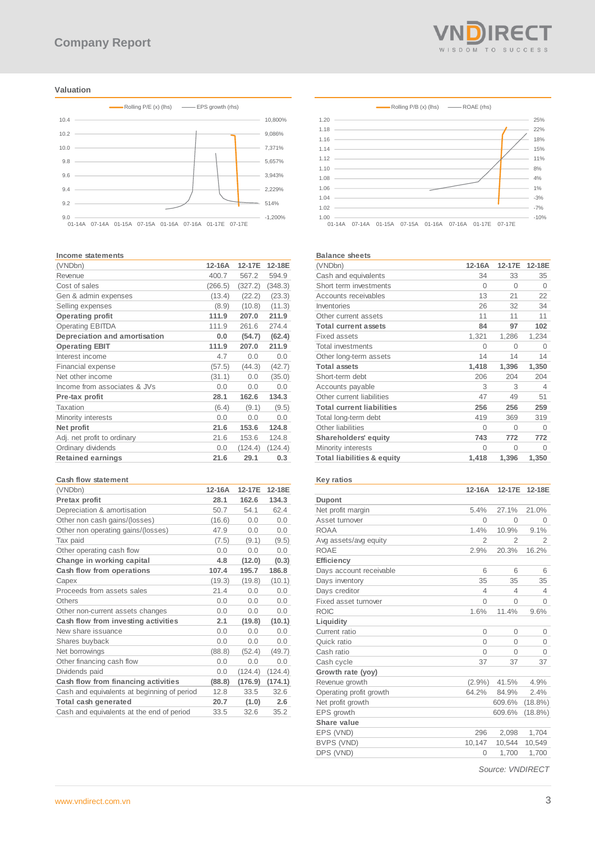#### **Valuation**



#### **Income statements**

| 12-16A  | 12-17E  | 12-18E  |
|---------|---------|---------|
| 400.7   | 567.2   | 594.9   |
| (266.5) | (327.2) | (348.3) |
| (13.4)  | (22.2)  | (23.3)  |
| (8.9)   | (10.8)  | (11.3)  |
| 111.9   | 207.0   | 211.9   |
| 111.9   | 261.6   | 274.4   |
| 0.0     | (54.7)  | (62.4)  |
| 111.9   | 207.0   | 211.9   |
| 4.7     | 0.0     | 0.0     |
| (57.5)  | (44.3)  | (42.7)  |
| (31.1)  | 0.0     | (35.0)  |
| 0.0     | 0.0     | 0.0     |
| 28.1    | 162.6   | 134.3   |
| (6.4)   | (9.1)   | (9.5)   |
| 0.0     | 0.0     | 0.0     |
| 21.6    | 153.6   | 124.8   |
| 21.6    | 153.6   | 124.8   |
| 0.0     | (124.4) | (124.4) |
| 21.6    | 29.1    | 0.3     |
|         |         |         |

#### **Cash flow statement**

| (VNDbn)                                     | 12-16A | 12-17E  | 12-18E  |
|---------------------------------------------|--------|---------|---------|
| Pretax profit                               | 28.1   | 162.6   | 134.3   |
| Depreciation & amortisation                 | 50.7   | 54.1    | 62.4    |
| Other non cash gains/(losses)               | (16.6) | 0.0     | 0.0     |
| Other non operating gains/(losses)          | 47.9   | 0.0     | 0.0     |
| Tax paid                                    | (7.5)  | (9.1)   | (9.5)   |
| Other operating cash flow                   | 0.0    | 0.0     | 0.0     |
| Change in working capital                   | 4.8    | (12.0)  | (0.3)   |
| Cash flow from operations                   | 107.4  | 195.7   | 186.8   |
| Capex                                       | (19.3) | (19.8)  | (10.1)  |
| Proceeds from assets sales                  | 21.4   | 0.0     | 0.0     |
| Others                                      | 0.0    | 0.0     | 0.0     |
| Other non-current assets changes            | 0.0    | 0.0     | 0.0     |
| Cash flow from investing activities         | 2.1    | (19.8)  | (10.1)  |
| New share issuance                          | 0.0    | 0.0     | 0.0     |
| Shares buyback                              | 0.0    | 0.0     | 0.0     |
| Net borrowings                              | (88.8) | (52.4)  | (49.7)  |
| Other financing cash flow                   | 0.0    | 0.0     | 0.0     |
| Dividends paid                              | 0.0    | (124.4) | (124.4) |
| Cash flow from financing activities         | (88.8) | (176.9) | (174.1) |
| Cash and equivalents at beginning of period | 12.8   | 33.5    | 32.6    |
| Total cash generated                        | 20.7   | (1.0)   | 2.6     |
| Cash and equivalents at the end of period   | 33.5   | 32.6    | 35.2    |





#### **Balance sheets**

| (VNDbn)                               | $12-16A$ | 12-17E   | 12-18E   |
|---------------------------------------|----------|----------|----------|
| Cash and equivalents                  | 34       | 33       | 35       |
| Short term investments                | 0        | $\Omega$ | $\Omega$ |
| Accounts receivables                  | 13       | 21       | 22       |
| Inventories                           | 26       | 32       | 34       |
| Other current assets                  | 11       | 11       | 11       |
| <b>Total current assets</b>           | 84       | 97       | 102      |
| <b>Fixed assets</b>                   | 1,321    | 1,286    | 1,234    |
| <b>Total investments</b>              | 0        | 0        | $\Omega$ |
| Other long-term assets                | 14       | 14       | 14       |
| <b>Total assets</b>                   | 1,418    | 1,396    | 1,350    |
| Short-term debt                       | 206      | 204      | 204      |
| Accounts payable                      | 3        | 3        | 4        |
| Other current liabilities             | 47       | 49       | 51       |
| <b>Total current liabilities</b>      | 256      | 256      | 259      |
| Total long-term debt                  | 419      | 369      | 319      |
| Other liabilities                     | 0        | $\Omega$ | $\Omega$ |
| <b>Shareholders' equity</b>           | 743      | 772      | 772      |
| Minority interests                    | 0        | $\Omega$ | $\Omega$ |
| <b>Total liabilities &amp; equity</b> | 1,418    | 1,396    | 1,350    |
|                                       |          |          |          |

## **Key ratios**

|                         | 12-16A         | 12-17E         | 12-18E         |
|-------------------------|----------------|----------------|----------------|
| <b>Dupont</b>           |                |                |                |
| Net profit margin       | 5.4%           | 27.1%          | 21.0%          |
| Asset turnover          | $\Omega$       | $\Omega$       | $\Omega$       |
| <b>ROAA</b>             | 1.4%           | 10.9%          | 9.1%           |
| Avg assets/avg equity   | $\overline{2}$ | $\overline{2}$ | $\overline{2}$ |
| <b>ROAE</b>             | 2.9%           | 20.3%          | 16.2%          |
| <b>Efficiency</b>       |                |                |                |
| Days account receivable | 6              | 6              | 6              |
| Days inventory          | 35             | 35             | 35             |
| Days creditor           | 4              | 4              | 4              |
| Fixed asset turnover    | $\Omega$       | $\Omega$       | $\Omega$       |
| <b>ROIC</b>             | 1.6%           | 11.4%          | 9.6%           |
| Liquidity               |                |                |                |
| Current ratio           | 0              | $\Omega$       | 0              |
| Quick ratio             | $\Omega$       | $\Omega$       | 0              |
| Cash ratio              | 0              | $\Omega$       | $\Omega$       |
| Cash cycle              | 37             | 37             | 37             |
| Growth rate (yoy)       |                |                |                |
| Revenue growth          | $(2.9\%)$      | 41.5%          | 4.9%           |
| Operating profit growth | 64.2%          | 84.9%          | 2.4%           |
| Net profit growth       |                | 609.6%         | $(18.8\%)$     |
| EPS growth              |                | 609.6%         | $(18.8\%)$     |
| Share value             |                |                |                |
| EPS (VND)               | 296            | 2,098          | 1,704          |
| BVPS (VND)              | 10,147         | 10,544         | 10,549         |
| DPS (VND)               | 0              | 1,700          | 1,700          |
|                         |                |                |                |

*Source: VNDIRECT*